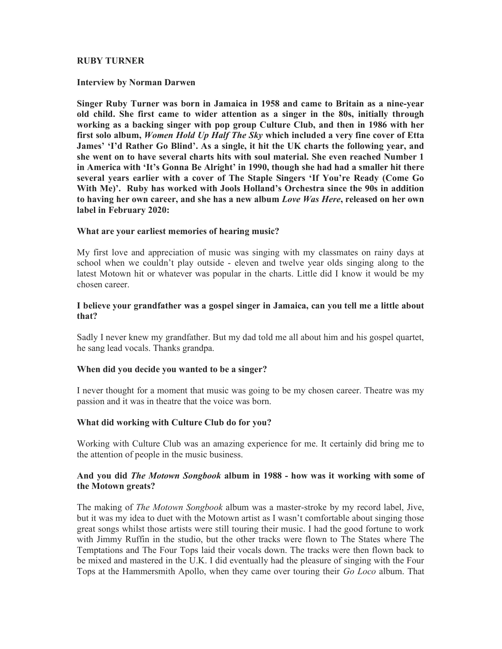## RUBY TURNER

#### Interview by Norman Darwen

Singer Ruby Turner was born in Jamaica in 1958 and came to Britain as a nine-year old child. She first came to wider attention as a singer in the 80s, initially through working as a backing singer with pop group Culture Club, and then in 1986 with her first solo album, Women Hold Up Half The Sky which included a very fine cover of Etta James' 'I'd Rather Go Blind'. As a single, it hit the UK charts the following year, and she went on to have several charts hits with soul material. She even reached Number 1 in America with 'It's Gonna Be Alright' in 1990, though she had had a smaller hit there several years earlier with a cover of The Staple Singers 'If You're Ready (Come Go With Me)'. Ruby has worked with Jools Holland's Orchestra since the 90s in addition to having her own career, and she has a new album Love Was Here, released on her own label in February 2020:

### What are your earliest memories of hearing music?

My first love and appreciation of music was singing with my classmates on rainy days at school when we couldn't play outside - eleven and twelve year olds singing along to the latest Motown hit or whatever was popular in the charts. Little did I know it would be my chosen career.

### I believe your grandfather was a gospel singer in Jamaica, can you tell me a little about that?

Sadly I never knew my grandfather. But my dad told me all about him and his gospel quartet, he sang lead vocals. Thanks grandpa.

### When did you decide you wanted to be a singer?

I never thought for a moment that music was going to be my chosen career. Theatre was my passion and it was in theatre that the voice was born.

### What did working with Culture Club do for you?

Working with Culture Club was an amazing experience for me. It certainly did bring me to the attention of people in the music business.

## And you did *The Motown Songbook* album in 1988 - how was it working with some of the Motown greats?

The making of The Motown Songbook album was a master-stroke by my record label, Jive, but it was my idea to duet with the Motown artist as I wasn't comfortable about singing those great songs whilst those artists were still touring their music. I had the good fortune to work with Jimmy Ruffin in the studio, but the other tracks were flown to The States where The Temptations and The Four Tops laid their vocals down. The tracks were then flown back to be mixed and mastered in the U.K. I did eventually had the pleasure of singing with the Four Tops at the Hammersmith Apollo, when they came over touring their Go Loco album. That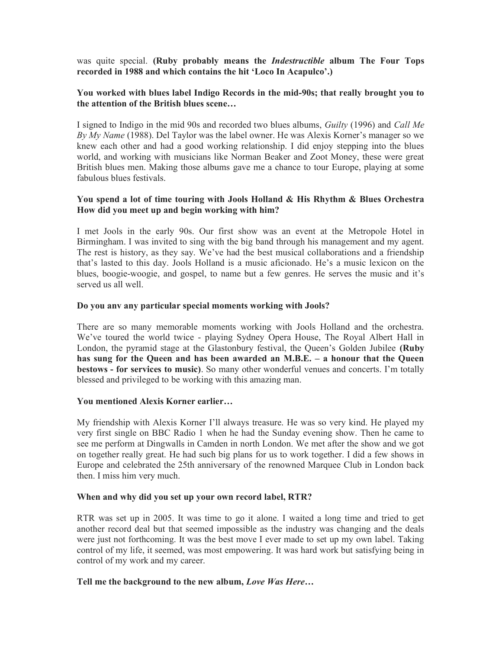was quite special. (Ruby probably means the *Indestructible* album The Four Tops recorded in 1988 and which contains the hit 'Loco In Acapulco'.)

## You worked with blues label Indigo Records in the mid-90s; that really brought you to the attention of the British blues scene…

I signed to Indigo in the mid 90s and recorded two blues albums, Guilty (1996) and Call Me By  $My$  Name (1988). Del Taylor was the label owner. He was Alexis Korner's manager so we knew each other and had a good working relationship. I did enjoy stepping into the blues world, and working with musicians like Norman Beaker and Zoot Money, these were great British blues men. Making those albums gave me a chance to tour Europe, playing at some fabulous blues festivals.

## You spend a lot of time touring with Jools Holland & His Rhythm & Blues Orchestra How did you meet up and begin working with him?

I met Jools in the early 90s. Our first show was an event at the Metropole Hotel in Birmingham. I was invited to sing with the big band through his management and my agent. The rest is history, as they say. We've had the best musical collaborations and a friendship that's lasted to this day. Jools Holland is a music aficionado. He's a music lexicon on the blues, boogie-woogie, and gospel, to name but a few genres. He serves the music and it's served us all well.

## Do you anv any particular special moments working with Jools?

There are so many memorable moments working with Jools Holland and the orchestra. We've toured the world twice - playing Sydney Opera House, The Royal Albert Hall in London, the pyramid stage at the Glastonbury festival, the Queen's Golden Jubilee (Ruby has sung for the Queen and has been awarded an M.B.E. – a honour that the Queen bestows - for services to music). So many other wonderful venues and concerts. I'm totally blessed and privileged to be working with this amazing man.

### You mentioned Alexis Korner earlier…

My friendship with Alexis Korner I'll always treasure. He was so very kind. He played my very first single on BBC Radio 1 when he had the Sunday evening show. Then he came to see me perform at Dingwalls in Camden in north London. We met after the show and we got on together really great. He had such big plans for us to work together. I did a few shows in Europe and celebrated the 25th anniversary of the renowned Marquee Club in London back then. I miss him very much.

### When and why did you set up your own record label, RTR?

RTR was set up in 2005. It was time to go it alone. I waited a long time and tried to get another record deal but that seemed impossible as the industry was changing and the deals were just not forthcoming. It was the best move I ever made to set up my own label. Taking control of my life, it seemed, was most empowering. It was hard work but satisfying being in control of my work and my career.

### Tell me the background to the new album, Love Was Here...